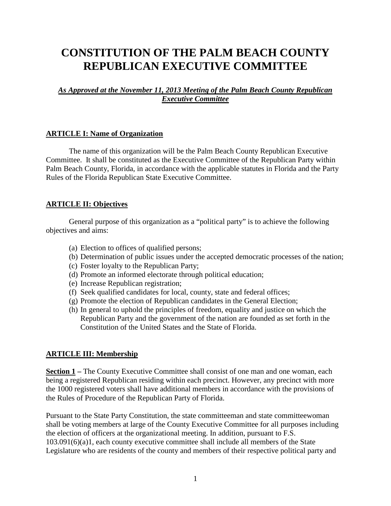# **CONSTITUTION OF THE PALM BEACH COUNTY REPUBLICAN EXECUTIVE COMMITTEE**

*As Approved at the November 11, 2013 Meeting of the Palm Beach County Republican Executive Committee*

#### **ARTICLE I: Name of Organization**

The name of this organization will be the Palm Beach County Republican Executive Committee. It shall be constituted as the Executive Committee of the Republican Party within Palm Beach County, Florida, in accordance with the applicable statutes in Florida and the Party Rules of the Florida Republican State Executive Committee.

#### **ARTICLE II: Objectives**

General purpose of this organization as a "political party" is to achieve the following objectives and aims:

- (a) Election to offices of qualified persons;
- (b) Determination of public issues under the accepted democratic processes of the nation;
- (c) Foster loyalty to the Republican Party;
- (d) Promote an informed electorate through political education;
- (e) Increase Republican registration;
- (f) Seek qualified candidates for local, county, state and federal offices;
- (g) Promote the election of Republican candidates in the General Election;
- (h) In general to uphold the principles of freedom, equality and justice on which the Republican Party and the government of the nation are founded as set forth in the Constitution of the United States and the State of Florida.

#### **ARTICLE III: Membership**

**Section 1 –** The County Executive Committee shall consist of one man and one woman, each being a registered Republican residing within each precinct. However, any precinct with more the 1000 registered voters shall have additional members in accordance with the provisions of the Rules of Procedure of the Republican Party of Florida.

Pursuant to the State Party Constitution, the state committeeman and state committeewoman shall be voting members at large of the County Executive Committee for all purposes including the election of officers at the organizational meeting. In addition, pursuant to F.S. 103.091(6)(a)1, each county executive committee shall include all members of the State Legislature who are residents of the county and members of their respective political party and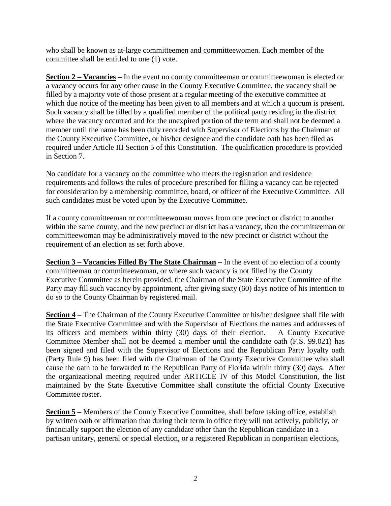who shall be known as at-large committeemen and committeewomen. Each member of the committee shall be entitled to one (1) vote.

**Section 2 – Vacancies –** In the event no county committeeman or committeewoman is elected or a vacancy occurs for any other cause in the County Executive Committee, the vacancy shall be filled by a majority vote of those present at a regular meeting of the executive committee at which due notice of the meeting has been given to all members and at which a quorum is present. Such vacancy shall be filled by a qualified member of the political party residing in the district where the vacancy occurred and for the unexpired portion of the term and shall not be deemed a member until the name has been duly recorded with Supervisor of Elections by the Chairman of the County Executive Committee, or his/her designee and the candidate oath has been filed as required under Article III Section 5 of this Constitution. The qualification procedure is provided in Section 7.

No candidate for a vacancy on the committee who meets the registration and residence requirements and follows the rules of procedure prescribed for filling a vacancy can be rejected for consideration by a membership committee, board, or officer of the Executive Committee. All such candidates must be voted upon by the Executive Committee.

If a county committeeman or committeewoman moves from one precinct or district to another within the same county, and the new precinct or district has a vacancy, then the committeeman or committeewoman may be administratively moved to the new precinct or district without the requirement of an election as set forth above.

**Section 3 – Vacancies Filled By The State Chairman –** In the event of no election of a county committeeman or committeewoman, or where such vacancy is not filled by the County Executive Committee as herein provided, the Chairman of the State Executive Committee of the Party may fill such vacancy by appointment, after giving sixty (60) days notice of his intention to do so to the County Chairman by registered mail.

**Section 4 –** The Chairman of the County Executive Committee or his/her designee shall file with the State Executive Committee and with the Supervisor of Elections the names and addresses of its officers and members within thirty (30) days of their election. A County Executive Committee Member shall not be deemed a member until the candidate oath (F.S. 99.021) has been signed and filed with the Supervisor of Elections and the Republican Party loyalty oath (Party Rule 9) has been filed with the Chairman of the County Executive Committee who shall cause the oath to be forwarded to the Republican Party of Florida within thirty (30) days. After the organizational meeting required under ARTICLE IV of this Model Constitution, the list maintained by the State Executive Committee shall constitute the official County Executive Committee roster.

**<u>Section 5</u>** – Members of the County Executive Committee, shall before taking office, establish by written oath or affirmation that during their term in office they will not actively, publicly, or financially support the election of any candidate other than the Republican candidate in a partisan unitary, general or special election, or a registered Republican in nonpartisan elections,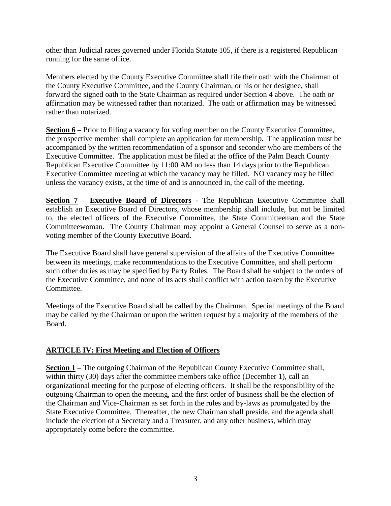other than Judicial races governed under Florida Statute 105, if there is a registered Republican running for the same office.

Members elected by the County Executive Committee shall file their oath with the Chairman of the County Executive Committee, and the County Chairman, or his or her designee, shall forward the signed oath to the State Chairman as required under Section 4 above. The oath or affirmation may be witnessed rather than notarized. The oath or affirmation may be witnessed rather than notarized.

**<u>Section 6</u>** – Prior to filling a vacancy for voting member on the County Executive Committee, the prospective member shall complete an application for membership. The application must be accompanied by the written recommendation of a sponsor and seconder who are members of the Executive Committee. The application must be filed at the office of the Palm Beach County Republican Executive Committee by 11:00 AM no less than 14 days prior to the Republican Executive Committee meeting at which the vacancy may be filled. NO vacancy may be filled unless the vacancy exists, at the time of and is announced in, the call of the meeting.

**Section 7** – **Executive Board of Directors** - The Republican Executive Committee shall establish an Executive Board of Directors, whose membership shall include, but not be limited to, the elected officers of the Executive Committee, the State Committeeman and the State Committeewoman. The County Chairman may appoint a General Counsel to serve as a nonvoting member of the County Executive Board.

The Executive Board shall have general supervision of the affairs of the Executive Committee between its meetings, make recommendations to the Executive Committee, and shall perform such other duties as may be specified by Party Rules. The Board shall be subject to the orders of the Executive Committee, and none of its acts shall conflict with action taken by the Executive Committee.

Meetings of the Executive Board shall be called by the Chairman. Special meetings of the Board may be called by the Chairman or upon the written request by a majority of the members of the Board.

#### **ARTICLE IV: First Meeting and Election of Officers**

**<u>Section 1</u>** – The outgoing Chairman of the Republican County Executive Committee shall, within thirty (30) days after the committee members take office (December 1), call an organizational meeting for the purpose of electing officers. It shall be the responsibility of the outgoing Chairman to open the meeting, and the first order of business shall be the election of the Chairman and Vice-Chairman as set forth in the rules and by-laws as promulgated by the State Executive Committee. Thereafter, the new Chairman shall preside, and the agenda shall include the election of a Secretary and a Treasurer, and any other business, which may appropriately come before the committee.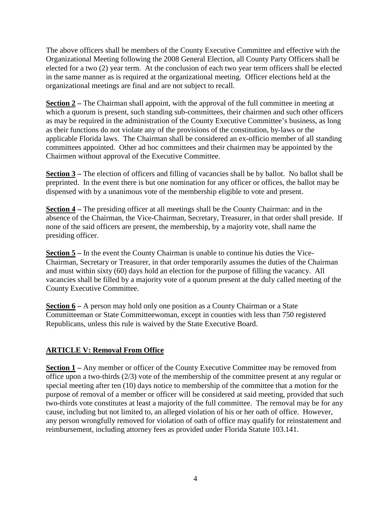The above officers shall be members of the County Executive Committee and effective with the Organizational Meeting following the 2008 General Election, all County Party Officers shall be elected for a two (2) year term. At the conclusion of each two year term officers shall be elected in the same manner as is required at the organizational meeting. Officer elections held at the organizational meetings are final and are not subject to recall.

**Section 2** – The Chairman shall appoint, with the approval of the full committee in meeting at which a quorum is present, such standing sub-committees, their chairmen and such other officers as may be required in the administration of the County Executive Committee's business, as long as their functions do not violate any of the provisions of the constitution, by-laws or the applicable Florida laws. The Chairman shall be considered an ex-officio member of all standing committees appointed. Other ad hoc committees and their chairmen may be appointed by the Chairmen without approval of the Executive Committee.

**Section 3** – The election of officers and filling of vacancies shall be by ballot. No ballot shall be preprinted. In the event there is but one nomination for any officer or offices, the ballot may be dispensed with by a unanimous vote of the membership eligible to vote and present.

**Section 4 –** The presiding officer at all meetings shall be the County Chairman: and in the absence of the Chairman, the Vice-Chairman, Secretary, Treasurer, in that order shall preside. If none of the said officers are present, the membership, by a majority vote, shall name the presiding officer.

**Section 5** – In the event the County Chairman is unable to continue his duties the Vice-Chairman, Secretary or Treasurer, in that order temporarily assumes the duties of the Chairman and must within sixty (60) days hold an election for the purpose of filling the vacancy. All vacancies shall be filled by a majority vote of a quorum present at the duly called meeting of the County Executive Committee.

**Section 6 –** A person may hold only one position as a County Chairman or a State Committeeman or State Committeewoman, except in counties with less than 750 registered Republicans, unless this rule is waived by the State Executive Board.

## **ARTICLE V: Removal From Office**

**<u>Section 1</u>** – Any member or officer of the County Executive Committee may be removed from office upon a two-thirds (2/3) vote of the membership of the committee present at any regular or special meeting after ten (10) days notice to membership of the committee that a motion for the purpose of removal of a member or officer will be considered at said meeting, provided that such two-thirds vote constitutes at least a majority of the full committee. The removal may be for any cause, including but not limited to, an alleged violation of his or her oath of office. However, any person wrongfully removed for violation of oath of office may qualify for reinstatement and reimbursement, including attorney fees as provided under Florida Statute 103.141.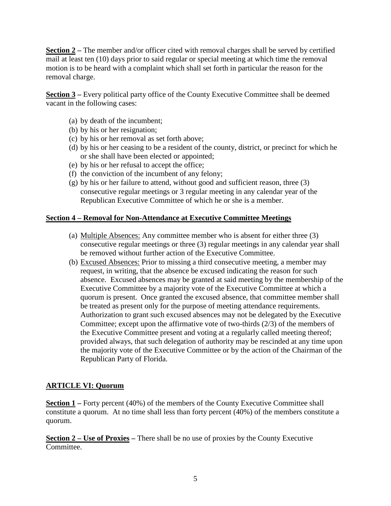**<u>Section 2</u>** – The member and/or officer cited with removal charges shall be served by certified mail at least ten (10) days prior to said regular or special meeting at which time the removal motion is to be heard with a complaint which shall set forth in particular the reason for the removal charge.

**Section 3** – Every political party office of the County Executive Committee shall be deemed vacant in the following cases:

- (a) by death of the incumbent;
- (b) by his or her resignation;
- (c) by his or her removal as set forth above;
- (d) by his or her ceasing to be a resident of the county, district, or precinct for which he or she shall have been elected or appointed;
- (e) by his or her refusal to accept the office;
- (f) the conviction of the incumbent of any felony;
- (g) by his or her failure to attend, without good and sufficient reason, three (3) consecutive regular meetings or 3 regular meeting in any calendar year of the Republican Executive Committee of which he or she is a member.

#### **Section 4 – Removal for Non-Attendance at Executive Committee Meetings**

- (a) Multiple Absences: Any committee member who is absent for either three (3) consecutive regular meetings or three (3) regular meetings in any calendar year shall be removed without further action of the Executive Committee.
- (b) Excused Absences: Prior to missing a third consecutive meeting, a member may request, in writing, that the absence be excused indicating the reason for such absence. Excused absences may be granted at said meeting by the membership of the Executive Committee by a majority vote of the Executive Committee at which a quorum is present. Once granted the excused absence, that committee member shall be treated as present only for the purpose of meeting attendance requirements. Authorization to grant such excused absences may not be delegated by the Executive Committee; except upon the affirmative vote of two-thirds (2/3) of the members of the Executive Committee present and voting at a regularly called meeting thereof; provided always, that such delegation of authority may be rescinded at any time upon the majority vote of the Executive Committee or by the action of the Chairman of the Republican Party of Florida.

## **ARTICLE VI: Quorum**

**Section 1** – Forty percent (40%) of the members of the County Executive Committee shall constitute a quorum. At no time shall less than forty percent (40%) of the members constitute a quorum.

**Section 2 – Use of Proxies –** There shall be no use of proxies by the County Executive Committee.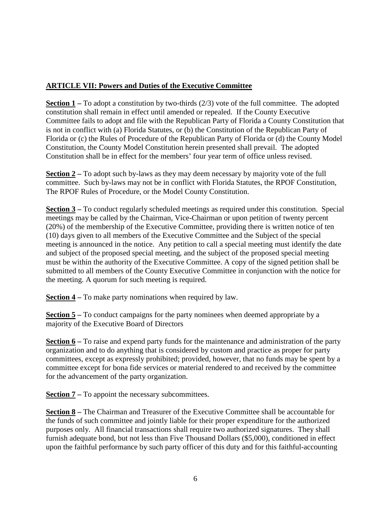## **ARTICLE VII: Powers and Duties of the Executive Committee**

**<u>Section 1</u>** – To adopt a constitution by two-thirds  $(2/3)$  vote of the full committee. The adopted constitution shall remain in effect until amended or repealed. If the County Executive Committee fails to adopt and file with the Republican Party of Florida a County Constitution that is not in conflict with (a) Florida Statutes, or (b) the Constitution of the Republican Party of Florida or (c) the Rules of Procedure of the Republican Party of Florida or (d) the County Model Constitution, the County Model Constitution herein presented shall prevail. The adopted Constitution shall be in effect for the members' four year term of office unless revised.

**Section 2** – To adopt such by-laws as they may deem necessary by majority vote of the full committee. Such by-laws may not be in conflict with Florida Statutes, the RPOF Constitution, The RPOF Rules of Procedure, or the Model County Constitution.

**Section 3** – To conduct regularly scheduled meetings as required under this constitution. Special meetings may be called by the Chairman, Vice-Chairman or upon petition of twenty percent (20%) of the membership of the Executive Committee, providing there is written notice of ten (10) days given to all members of the Executive Committee and the Subject of the special meeting is announced in the notice. Any petition to call a special meeting must identify the date and subject of the proposed special meeting, and the subject of the proposed special meeting must be within the authority of the Executive Committee. A copy of the signed petition shall be submitted to all members of the County Executive Committee in conjunction with the notice for the meeting. A quorum for such meeting is required.

**Section 4 –** To make party nominations when required by law.

**Section 5** – To conduct campaigns for the party nominees when deemed appropriate by a majority of the Executive Board of Directors

**Section 6** – To raise and expend party funds for the maintenance and administration of the party organization and to do anything that is considered by custom and practice as proper for party committees, except as expressly prohibited; provided, however, that no funds may be spent by a committee except for bona fide services or material rendered to and received by the committee for the advancement of the party organization.

**Section 7** – To appoint the necessary subcommittees.

**Section 8 –** The Chairman and Treasurer of the Executive Committee shall be accountable for the funds of such committee and jointly liable for their proper expenditure for the authorized purposes only. All financial transactions shall require two authorized signatures. They shall furnish adequate bond, but not less than Five Thousand Dollars (\$5,000), conditioned in effect upon the faithful performance by such party officer of this duty and for this faithful-accounting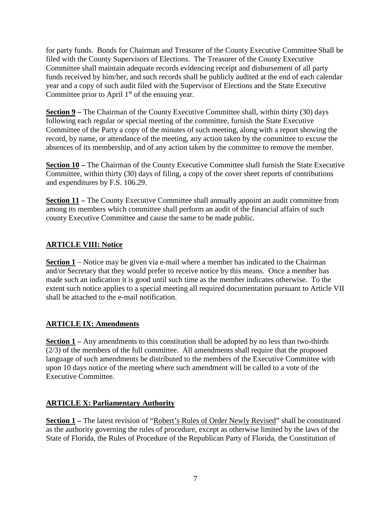for party funds. Bonds for Chairman and Treasurer of the County Executive Committee Shall be filed with the County Supervisors of Elections. The Treasurer of the County Executive Committee shall maintain adequate records evidencing receipt and disbursement of all party funds received by him/her, and such records shall be publicly audited at the end of each calendar year and a copy of such audit filed with the Supervisor of Elections and the State Executive Committee prior to April 1<sup>st</sup> of the ensuing year.

**Section 9** – The Chairman of the County Executive Committee shall, within thirty (30) days following each regular or special meeting of the committee, furnish the State Executive Committee of the Party a copy of the minutes of such meeting, along with a report showing the record, by name, or attendance of the meeting, any action taken by the committee to excuse the absences of its membership, and of any action taken by the committee to remove the member.

**Section 10** – The Chairman of the County Executive Committee shall furnish the State Executive Committee, within thirty (30) days of filing, a copy of the cover sheet reports of contributions and expenditures by F.S. 106.29.

**Section 11** – The County Executive Committee shall annually appoint an audit committee from among its members which committee shall perform an audit of the financial affairs of such county Executive Committee and cause the same to be made public.

# **ARTICLE VIII: Notice**

**Section 1** – Notice may be given via e-mail where a member has indicated to the Chairman and/or Secretary that they would prefer to receive notice by this means. Once a member has made such an indication it is good until such time as the member indicates otherwise. To the extent such notice applies to a special meeting all required documentation pursuant to Article VII shall be attached to the e-mail notification.

## **ARTICLE IX: Amendments**

**Section 1** – Any amendments to this constitution shall be adopted by no less than two-thirds (2/3) of the members of the full committee. All amendments shall require that the proposed language of such amendments be distributed to the members of the Executive Committee with upon 10 days notice of the meeting where such amendment will be called to a vote of the Executive Committee.

## **ARTICLE X: Parliamentary Authority**

**Section 1 – The latest revision of "Robert's Rules of Order Newly Revised" shall be constituted** as the authority governing the rules of procedure, except as otherwise limited by the laws of the State of Florida, the Rules of Procedure of the Republican Party of Florida, the Constitution of